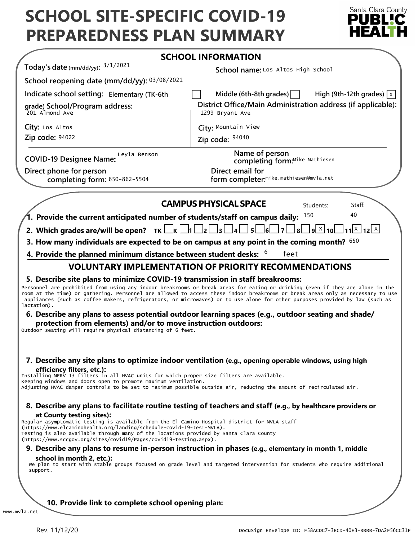# **SCHOOL SITE-SPECIFIC COVID-19 PREPAREDNESS PLAN SUMMARY**



|                                                                                                                                                                                                                                                                                                                                                                                 | <b>SCHOOL INFORMATION</b>                                                                                                                                                                                                           |
|---------------------------------------------------------------------------------------------------------------------------------------------------------------------------------------------------------------------------------------------------------------------------------------------------------------------------------------------------------------------------------|-------------------------------------------------------------------------------------------------------------------------------------------------------------------------------------------------------------------------------------|
| Today's date (mm/dd/yy): $3/1/2021$                                                                                                                                                                                                                                                                                                                                             | School name: Los Altos High School                                                                                                                                                                                                  |
| School reopening date (mm/dd/yy): 03/08/2021                                                                                                                                                                                                                                                                                                                                    |                                                                                                                                                                                                                                     |
| Indicate school setting: Elementary (TK-6th                                                                                                                                                                                                                                                                                                                                     | Middle (6th-8th grades) $\vert$<br>High (9th-12th grades) $ x $                                                                                                                                                                     |
| grade) School/Program address:<br>201 Almond Ave                                                                                                                                                                                                                                                                                                                                | District Office/Main Administration address (if applicable):<br>1299 Bryant Ave                                                                                                                                                     |
| City: Los Altos                                                                                                                                                                                                                                                                                                                                                                 | City: Mountain View                                                                                                                                                                                                                 |
| Zip code: 94022                                                                                                                                                                                                                                                                                                                                                                 | Zip code: $94040$                                                                                                                                                                                                                   |
| Leyla Benson<br><b>COVID-19 Designee Name:</b>                                                                                                                                                                                                                                                                                                                                  | Name of person<br>completing form:Mike Mathiesen                                                                                                                                                                                    |
| Direct phone for person<br>completing form: 650-862-5504                                                                                                                                                                                                                                                                                                                        | Direct email for<br>form completer: <sup>mike.mathiesen@mvla.net</sup>                                                                                                                                                              |
|                                                                                                                                                                                                                                                                                                                                                                                 | <b>CAMPUS PHYSICAL SPACE</b><br>Students:<br>Staff:                                                                                                                                                                                 |
| $^7$ 1. Provide the current anticipated number of students/staff on campus daily: $^{150}$                                                                                                                                                                                                                                                                                      | 40                                                                                                                                                                                                                                  |
| 2. Which grades are/will be open? $TK \Box K \Box 1 \Box 2 \Box$                                                                                                                                                                                                                                                                                                                | $\lfloor 11 \rfloor$ X $\lfloor 12 \rfloor$ X $\lfloor$<br>q X <br>14 I<br>5L                                                                                                                                                       |
|                                                                                                                                                                                                                                                                                                                                                                                 | 3. How many individuals are expected to be on campus at any point in the coming month? $650$                                                                                                                                        |
| 4. Provide the planned minimum distance between student desks: $6\,$                                                                                                                                                                                                                                                                                                            | feet                                                                                                                                                                                                                                |
| <b>VOLUNTARY IMPLEMENTATION OF PRIORITY RECOMMENDATIONS</b>                                                                                                                                                                                                                                                                                                                     |                                                                                                                                                                                                                                     |
| lactation).<br>protection from elements) and/or to move instruction outdoors:<br>Outdoor seating will require physical distancing of 6 feet.                                                                                                                                                                                                                                    | appliances (such as coffee makers, refrigerators, or microwaves) or to use alone for other purposes provided by law (such as<br>6. Describe any plans to assess potential outdoor learning spaces (e.g., outdoor seating and shade/ |
|                                                                                                                                                                                                                                                                                                                                                                                 |                                                                                                                                                                                                                                     |
| efficiency filters, etc.):<br>Installing MERV 13 filters in all HVAC units for which proper size filters are available.<br>Keeping windows and doors open to promote maximum ventilation.                                                                                                                                                                                       | 7. Describe any site plans to optimize indoor ventilation (e.g., opening operable windows, using high<br>Adjusting HVAC damper controls to be set to maximum possible outside air, reducing the amount of recirculated air.         |
| at County testing sites):                                                                                                                                                                                                                                                                                                                                                       | 8. Describe any plans to facilitate routine testing of teachers and staff (e.g., by healthcare providers or                                                                                                                         |
|                                                                                                                                                                                                                                                                                                                                                                                 | 9. Describe any plans to resume in-person instruction in phases (e.g., elementary in month 1, middle                                                                                                                                |
| Regular asymptomatic testing is available from the El Camino Hospital district for MVLA staff<br>(https://www.elcaminohealth.org/landing/schedule-covid-19-test-MVLA).<br>Testing is also available through many of the locations provided by Santa Clara County<br>(https://www.sccgov.org/sites/covid19/Pages/covid19-testing.aspx).<br>school in month 2, etc.):<br>support. | We plan to start with stable groups focused on grade level and targeted intervention for students who require additional                                                                                                            |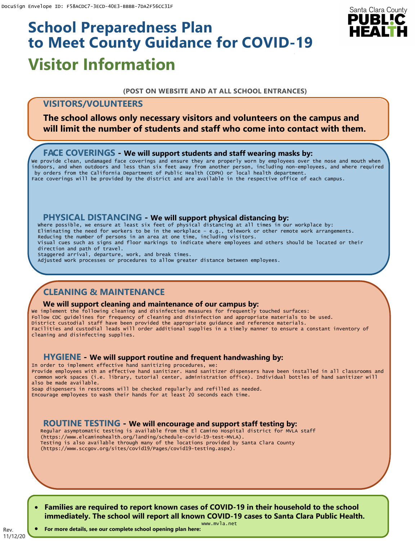# **Visitor Information School Preparedness Plan to Meet County Guidance for COVID-19**

# Santa Clara County PUBLIC

#### **(POST ON WEBSITE AND AT ALL SCHOOL ENTRANCES)**

# **VISITORS/VOLUNTEERS**

**The school allows only necessary visitors and volunteers on the campus and will limit the number of students and staff who come into contact with them.**

## **FACE COVERINGS - We will support students and staff wearing masks by:**

We provide clean, undamaged face coverings and ensure they are properly worn by employees over the nose and mouth when indoors, and when outdoors and less than six feet away from another person, including non-employees, and where required by orders from the California Department of Public Health (CDPH) or local health department. Face coverings will be provided by the district and are available in the respective office of each campus.

## **PHYSICAL DISTANCING - We will support physical distancing by:**

Where possible, we ensure at least six feet of physical distancing at all times in our workplace by: Eliminating the need for workers to be in the workplace – e.g., telework or other remote work arrangements. Reducing the number of persons in an area at one time, including visitors. Visual cues such as signs and floor markings to indicate where employees and others should be located or their direction and path of travel. Staggered arrival, departure, work, and break times. Adjusted work processes or procedures to allow greater distance between employees.

# **CLEANING & MAINTENANCE**

#### **We will support cleaning and maintenance of our campus by:**

We implement the following cleaning and disinfection measures for frequently touched surfaces: Follow CDC guidelines for frequency of cleaning and disinfection and appropriate materials to be used. District custodial staff have been provided the appropriate guidance and reference materials. Facilities and custodial leads will order additional supplies in a timely manner to ensure a constant inventory of cleaning and disinfecting supplies.

## **HYGIENE - We will support routine and frequent handwashing by:**

In order to implement effective hand sanitizing procedures, we: Provide employees with an effective hand sanitizer. Hand sanitizer dispensers have been installed in all classrooms and common work spaces (i.e. library, tutorial center, administration office). Individual bottles of hand sanitizer will also be made available.

Soap dispensers in restrooms will be checked regularly and refilled as needed. Encourage employees to wash their hands for at least 20 seconds each time.

## **ROUTINE TESTING - We will encourage and support staff testing by:**

Regular asymptomatic testing is available from the El Camino Hospital district for MVLA staff (https://www.elcaminohealth.org/landing/schedule-covid-19-test-MVLA). Testing is also available through many of the locations provided by Santa Clara County (https://www.sccgov.org/sites/covid19/Pages/covid19-testing.aspx).

• **Families are required to report known cases of COVID-19 in their household to the school immediately. The school will report all known COVID-19 cases to Santa Clara Public Health.**

11/12/20 • **For more details, see our complete school opening plan here:**

Rev.

www.mvla.net